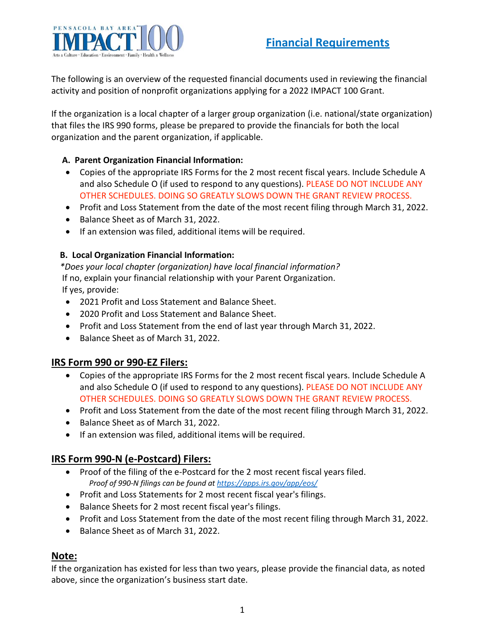

The following is an overview of the requested financial documents used in reviewing the financial activity and position of nonprofit organizations applying for a 2022 IMPACT 100 Grant.

If the organization is a local chapter of a larger group organization (i.e. national/state organization) that files the IRS 990 forms, please be prepared to provide the financials for both the local organization and the parent organization, if applicable.

#### **A. Parent Organization Financial Information:**

- Copies of the appropriate IRS Forms for the 2 most recent fiscal years. Include Schedule A and also Schedule O (if used to respond to any questions). PLEASE DO NOT INCLUDE ANY OTHER SCHEDULES. DOING SO GREATLY SLOWS DOWN THE GRANT REVIEW PROCESS.
- Profit and Loss Statement from the date of the most recent filing through March 31, 2022.
- Balance Sheet as of March 31, 2022.
- If an extension was filed, additional items will be required.

#### **B. Local Organization Financial Information:**

 *\*Does your local chapter (organization) have local financial information?* If no, explain your financial relationship with your Parent Organization. If yes, provide:

- 2021 Profit and Loss Statement and Balance Sheet.
- 2020 Profit and Loss Statement and Balance Sheet.
- Profit and Loss Statement from the end of last year through March 31, 2022.
- Balance Sheet as of March 31, 2022.

## **IRS Form 990 or 990-EZ Filers:**

- Copies of the appropriate IRS Forms for the 2 most recent fiscal years. Include Schedule A and also Schedule O (if used to respond to any questions). PLEASE DO NOT INCLUDE ANY OTHER SCHEDULES. DOING SO GREATLY SLOWS DOWN THE GRANT REVIEW PROCESS.
- Profit and Loss Statement from the date of the most recent filing through March 31, 2022.
- Balance Sheet as of March 31, 2022.
- If an extension was filed, additional items will be required.

## **IRS Form 990-N (e-Postcard) Filers:**

- Proof of the filing of the e-Postcard for the 2 most recent fiscal years filed.  *Proof of 990-N filings can be found at <https://apps.irs.gov/app/eos/>*
- Profit and Loss Statements for 2 most recent fiscal year's filings.
- Balance Sheets for 2 most recent fiscal year's filings.
- Profit and Loss Statement from the date of the most recent filing through March 31, 2022.
- Balance Sheet as of March 31, 2022.

#### **Note:**

If the organization has existed for less than two years, please provide the financial data, as noted above, since the organization's business start date.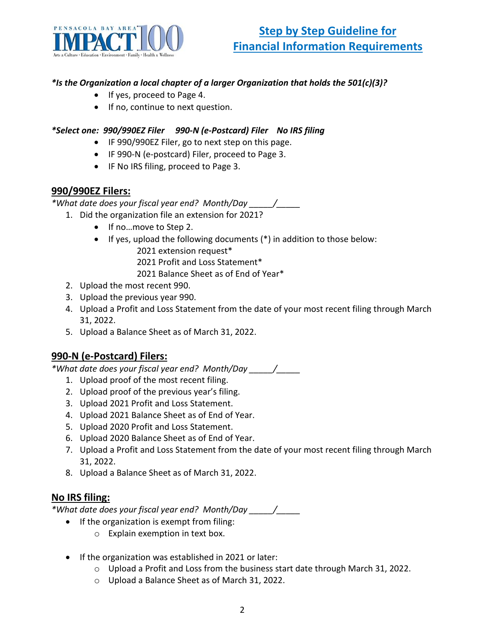

### *\*Is the Organization a local chapter of a larger Organization that holds the 501(c)(3)?*

- If yes, proceed to Page 4.
- If no, continue to next question.

### *\*Select one: 990/990EZ Filer 990-N (e-Postcard) Filer No IRS filing*

- IF 990/990EZ Filer, go to next step on this page.
- IF 990-N (e-postcard) Filer, proceed to Page 3.
- IF No IRS filing, proceed to Page 3.

## **990/990EZ Filers:**

*\*What date does your fiscal year end? Month/Day \_\_\_\_\_/\_\_\_\_\_*

- 1. Did the organization file an extension for 2021?
	- If no…move to Step 2.
	- If yes, upload the following documents (\*) in addition to those below: 2021 extension request\*

2021 Profit and Loss Statement\*

2021 Balance Sheet as of End of Year\*

- 2. Upload the most recent 990.
- 3. Upload the previous year 990.
- 4. Upload a Profit and Loss Statement from the date of your most recent filing through March 31, 2022.
- 5. Upload a Balance Sheet as of March 31, 2022.

## **990-N (e-Postcard) Filers:**

*\*What date does your fiscal year end? Month/Day \_\_\_\_\_/\_\_\_\_\_*

- 1. Upload proof of the most recent filing.
- 2. Upload proof of the previous year's filing.
- 3. Upload 2021 Profit and Loss Statement.
- 4. Upload 2021 Balance Sheet as of End of Year.
- 5. Upload 2020 Profit and Loss Statement.
- 6. Upload 2020 Balance Sheet as of End of Year.
- 7. Upload a Profit and Loss Statement from the date of your most recent filing through March 31, 2022.
- 8. Upload a Balance Sheet as of March 31, 2022.

## **No IRS filing:**

*\*What date does your fiscal year end? Month/Day \_\_\_\_\_/\_\_\_\_\_*

- If the organization is exempt from filing:
	- o Explain exemption in text box.
- If the organization was established in 2021 or later:
	- $\circ$  Upload a Profit and Loss from the business start date through March 31, 2022.
	- o Upload a Balance Sheet as of March 31, 2022.